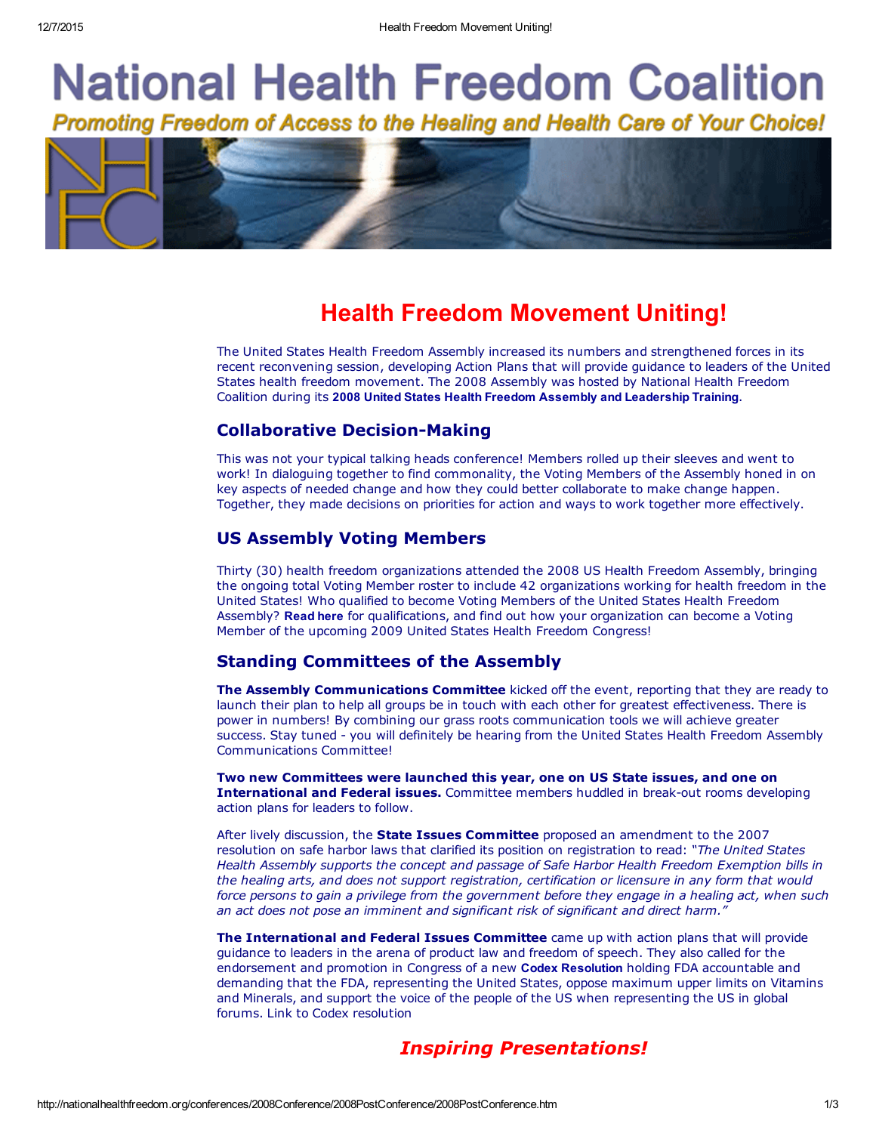# **National Health Freedom Coalition** Promoting Freedom of Access to the Healing and Health Care of Your Choice!



# Health Freedom Movement Uniting!

The United States Health Freedom Assembly increased its numbers and strengthened forces in its recent reconvening session, developing Action Plans that will provide guidance to leaders of the United States health freedom movement. The 2008 Assembly was hosted by National Health Freedom Coalition during its 2008 United States Health Freedom Assembly and [Leadership](http://nationalhealthfreedom.org/conferences/2008Conference/2008PostConference/NHFC_Program_2008.pdf) Training.

### **Collaborative Decision-Making**

This was not your typical talking heads conference! Members rolled up their sleeves and went to work! In dialoguing together to find commonality, the Voting Members of the Assembly honed in on key aspects of needed change and how they could better collaborate to make change happen. Together, they made decisions on priorities for action and ways to work together more effectively.

#### US Assembly Voting Members

Thirty (30) health freedom organizations attended the 2008 US Health Freedom Assembly, bringing the ongoing total Voting Member roster to include 42 organizations working for health freedom in the United States! Who qualified to become Voting Members of the United States Health Freedom Assembly? [Read](http://nationalhealthfreedom.org/conferences/2008Conference/2008PostConference/Master_2009_application_for_US_Congress_Voting_Members.pdf) here for qualifications, and find out how your organization can become a Voting Member of the upcoming 2009 United States Health Freedom Congress!

### Standing Committees of the Assembly

The Assembly Communications Committee kicked off the event, reporting that they are ready to launch their plan to help all groups be in touch with each other for greatest effectiveness. There is power in numbers! By combining our grass roots communication tools we will achieve greater success. Stay tuned - you will definitely be hearing from the United States Health Freedom Assembly Communications Committee!

Two new Committees were launched this year, one on US State issues, and one on International and Federal issues. Committee members huddled in break-out rooms developing action plans for leaders to follow.

After lively discussion, the **State Issues Committee** proposed an amendment to the 2007 resolution on safe harbor laws that clarified its position on registration to read: *"The United States Health Assembly supports the concept and passage of Safe Harbor Health Freedom Exemption bills in the healing arts, and does not support registration, certification or licensure in any form that would* force persons to gain a privilege from the government before they engage in a healing act, when such *an act does not pose an imminent and significant risk of significant and direct harm."*

The International and Federal Issues Committee came up with action plans that will provide guidance to leaders in the arena of product law and freedom of speech. They also called for the endorsement and promotion in Congress of a new Codex [Resolution](http://nationalhealthfreedom.org/conferences/2008Conference/2008PostConference/codex-letter.pdf) holding FDA accountable and demanding that the FDA, representing the United States, oppose maximum upper limits on Vitamins and Minerals, and support the voice of the people of the US when representing the US in global forums. Link to Codex resolution

# *Inspiring Presentations!*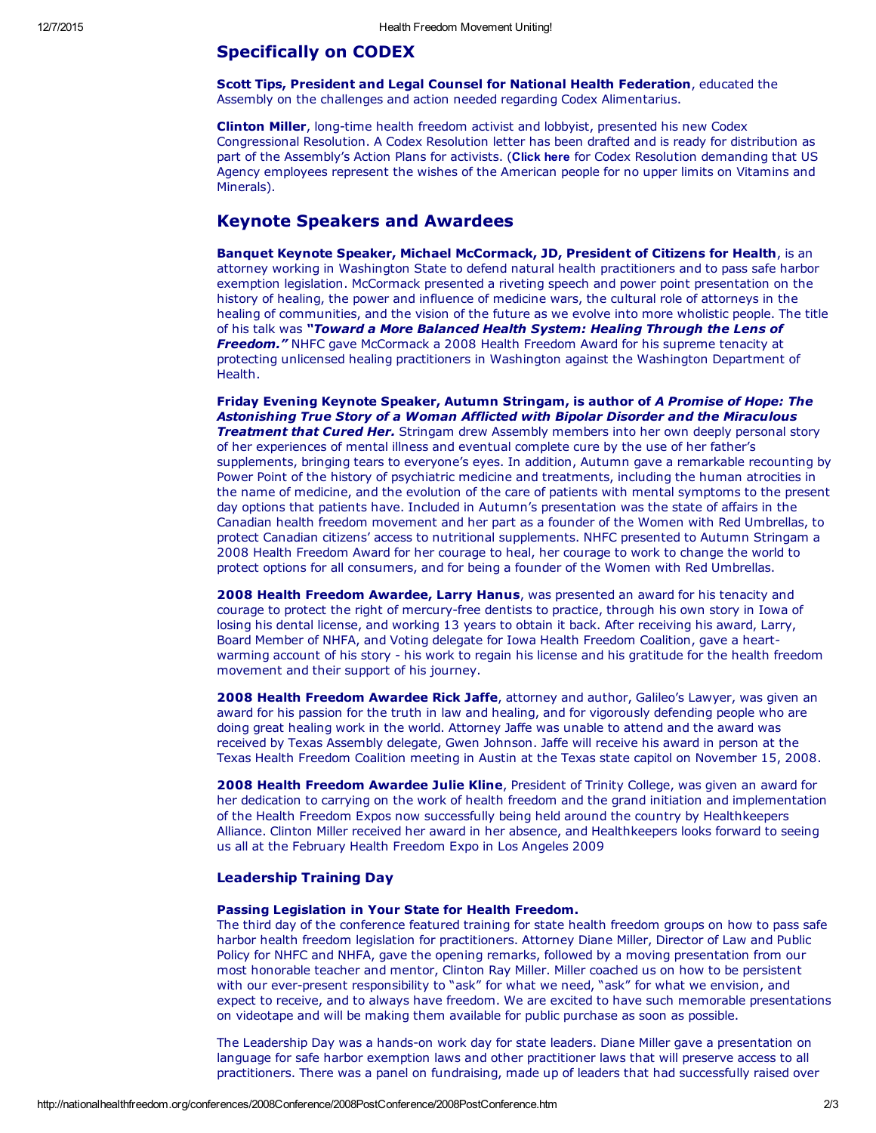#### Specifically on CODEX

Scott Tips, President and Legal Counsel for National Health Federation, educated the Assembly on the challenges and action needed regarding Codex Alimentarius.

Clinton Miller, long-time health freedom activist and lobbyist, presented his new Codex Congressional Resolution. A Codex Resolution letter has been drafted and is ready for distribution as part of the Assembly's Action Plans for activists. ([Click](http://nationalhealthfreedom.org/conferences/2008Conference/2008PostConference/codex-letter.pdf) here for Codex Resolution demanding that US Agency employees represent the wishes of the American people for no upper limits on Vitamins and Minerals).

#### Keynote Speakers and Awardees

Banquet Keynote Speaker, Michael McCormack, JD, President of Citizens for Health, is an attorney working in Washington State to defend natural health practitioners and to pass safe harbor exemption legislation. McCormack presented a riveting speech and power point presentation on the history of healing, the power and influence of medicine wars, the cultural role of attorneys in the healing of communities, and the vision of the future as we evolve into more wholistic people. The title of his talk was *"Toward a More Balanced Health System: Healing Through the Lens of* **Freedom."** NHFC gave McCormack a 2008 Health Freedom Award for his supreme tenacity at protecting unlicensed healing practitioners in Washington against the Washington Department of Health.

Friday Evening Keynote Speaker, Autumn Stringam, is author of *A Promise of Hope: The Astonishing True Story of a Woman Afflicted with Bipolar Disorder and the Miraculous Treatment that Cured Her.* Stringam drew Assembly members into her own deeply personal story of her experiences of mental illness and eventual complete cure by the use of her father's supplements, bringing tears to everyone's eyes. In addition, Autumn gave a remarkable recounting by Power Point of the history of psychiatric medicine and treatments, including the human atrocities in the name of medicine, and the evolution of the care of patients with mental symptoms to the present day options that patients have. Included in Autumn's presentation was the state of affairs in the Canadian health freedom movement and her part as a founder of the Women with Red Umbrellas, to protect Canadian citizens' access to nutritional supplements. NHFC presented to Autumn Stringam a 2008 Health Freedom Award for her courage to heal, her courage to work to change the world to protect options for all consumers, and for being a founder of the Women with Red Umbrellas.

2008 Health Freedom Awardee, Larry Hanus, was presented an award for his tenacity and courage to protect the right of mercury-free dentists to practice, through his own story in Iowa of losing his dental license, and working 13 years to obtain it back. After receiving his award, Larry, Board Member of NHFA, and Voting delegate for Iowa Health Freedom Coalition, gave a heartwarming account of his story - his work to regain his license and his gratitude for the health freedom movement and their support of his journey.

2008 Health Freedom Awardee Rick Jaffe, attorney and author, Galileo's Lawyer, was given an award for his passion for the truth in law and healing, and for vigorously defending people who are doing great healing work in the world. Attorney Jaffe was unable to attend and the award was received by Texas Assembly delegate, Gwen Johnson. Jaffe will receive his award in person at the Texas Health Freedom Coalition meeting in Austin at the Texas state capitol on November 15, 2008.

2008 Health Freedom Awardee Julie Kline, President of Trinity College, was given an award for her dedication to carrying on the work of health freedom and the grand initiation and implementation of the Health Freedom Expos now successfully being held around the country by Healthkeepers Alliance. Clinton Miller received her award in her absence, and Healthkeepers looks forward to seeing us all at the February Health Freedom Expo in Los Angeles 2009

#### Leadership Training Day

#### Passing Legislation in Your State for Health Freedom.

The third day of the conference featured training for state health freedom groups on how to pass safe harbor health freedom legislation for practitioners. Attorney Diane Miller, Director of Law and Public Policy for NHFC and NHFA, gave the opening remarks, followed by a moving presentation from our most honorable teacher and mentor, Clinton Ray Miller. Miller coached us on how to be persistent with our ever-present responsibility to "ask" for what we need, "ask" for what we envision, and expect to receive, and to always have freedom. We are excited to have such memorable presentations on videotape and will be making them available for public purchase as soon as possible.

The Leadership Day was a hands-on work day for state leaders. Diane Miller gave a presentation on language for safe harbor exemption laws and other practitioner laws that will preserve access to all practitioners. There was a panel on fundraising, made up of leaders that had successfully raised over